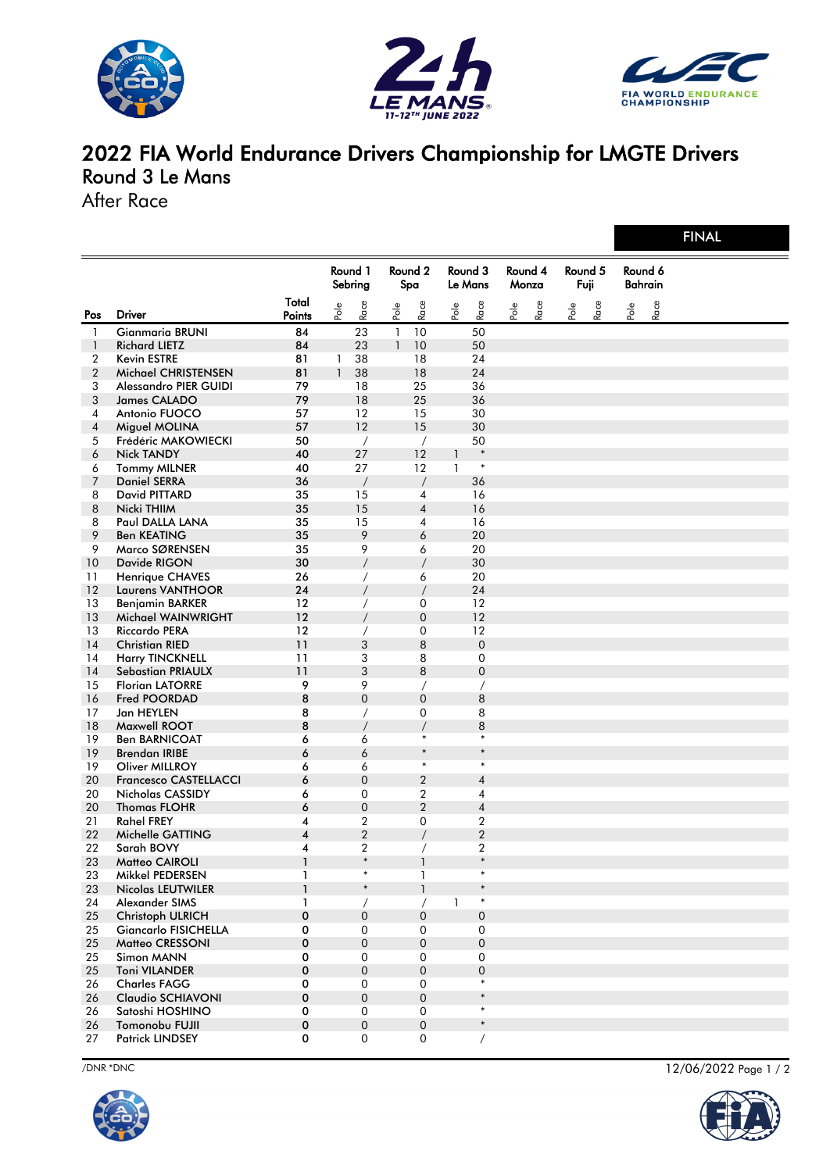





## 2022 FIA World Endurance Drivers Championship for LMGTE Drivers Round 3 Le Mans

After Race

|                |                              |                         |              |                     |                |                     |                    |                  |                  |      |                 |      |                           |      | <b>FINAL</b> |
|----------------|------------------------------|-------------------------|--------------|---------------------|----------------|---------------------|--------------------|------------------|------------------|------|-----------------|------|---------------------------|------|--------------|
|                |                              |                         |              | Round 1<br>Sebring  | Round 2<br>Spa |                     | Round 3<br>Le Mans |                  | Round 4<br>Monza |      | Round 5<br>Fuji |      | Round 6<br><b>Bahrain</b> |      |              |
| Pos            | <b>Driver</b>                | Total<br>Points         | Pole         | Race                | Pole           | Race                | Pole               | Race             | Pole             | Race | Pole            | Race | Pole                      | Race |              |
| $\mathbf{1}$   | <b>Gianmaria BRUNI</b>       | 84                      |              | 23                  | $\mathbf{1}$   | 10                  |                    | 50               |                  |      |                 |      |                           |      |              |
| $\mathbf{1}$   | <b>Richard LIETZ</b>         | 84                      |              | 23                  | $\mathbf{1}$   | 10                  |                    | 50               |                  |      |                 |      |                           |      |              |
| 2              | Kevin ESTRE                  | 81                      | 1            | 38                  |                | 18                  |                    | 24               |                  |      |                 |      |                           |      |              |
| $\overline{2}$ | Michael CHRISTENSEN          | 81                      | $\mathbf{1}$ | 38                  |                | 18                  |                    | 24               |                  |      |                 |      |                           |      |              |
| 3              | Alessandro PIER GUIDI        | 79                      |              | 18                  |                | 25                  |                    | 36               |                  |      |                 |      |                           |      |              |
| 3              | James CALADO                 | 79                      |              | 18                  |                | 25                  |                    | 36               |                  |      |                 |      |                           |      |              |
| 4              | Antonio FUOCO                | 57                      |              | 12                  |                | 15                  |                    | 30               |                  |      |                 |      |                           |      |              |
| 4              | Miguel MOLINA                | 57                      |              | 12                  |                | 15                  |                    | 30               |                  |      |                 |      |                           |      |              |
| 5              | Frédéric MAKOWIECKI          | 50                      |              | $\sqrt{2}$          |                | $\prime$            |                    | 50               |                  |      |                 |      |                           |      |              |
| 6              | <b>Nick TANDY</b>            | 40                      |              | 27                  |                | 12                  | $\mathbf{1}$       | $\ast$           |                  |      |                 |      |                           |      |              |
| 6              | <b>Tommy MILNER</b>          | 40                      |              | 27                  |                | 12                  | $\mathbf{1}$       | $\ast$           |                  |      |                 |      |                           |      |              |
| 7              | <b>Daniel SERRA</b>          | 36                      |              | $\overline{1}$      |                | $\sqrt{2}$          |                    | 36               |                  |      |                 |      |                           |      |              |
| 8              | David PITTARD                | 35                      |              | 15                  |                | 4                   |                    | 16               |                  |      |                 |      |                           |      |              |
| 8              | Nicki THIIM                  | 35                      |              | 15                  |                | $\sqrt{4}$          |                    | 16               |                  |      |                 |      |                           |      |              |
| 8              | Paul DALLA LANA              | 35                      |              | 15                  |                | $\overline{4}$      |                    | 16               |                  |      |                 |      |                           |      |              |
| 9              | <b>Ben KEATING</b>           | 35                      |              | 9                   |                | 6                   |                    | 20               |                  |      |                 |      |                           |      |              |
| 9              | Marco SØRENSEN               | 35                      |              | 9                   |                | 6                   |                    | 20               |                  |      |                 |      |                           |      |              |
| 10             | Davide RIGON                 | 30                      |              | $\overline{1}$      |                | $\overline{1}$      |                    | 30               |                  |      |                 |      |                           |      |              |
| 11             | <b>Henrique CHAVES</b>       | 26                      |              | $\sqrt{2}$          |                | 6                   |                    | 20               |                  |      |                 |      |                           |      |              |
| 12             | <b>Laurens VANTHOOR</b>      | 24                      |              | $\sqrt{2}$          |                | $\overline{1}$      |                    | 24               |                  |      |                 |      |                           |      |              |
| 13             | <b>Beniamin BARKER</b>       | 12                      |              | $\sqrt{2}$          |                | 0                   |                    | 12               |                  |      |                 |      |                           |      |              |
| 13             | Michael WAINWRIGHT           | 12                      |              | $\overline{1}$      |                | $\mathbf 0$         |                    | 12               |                  |      |                 |      |                           |      |              |
| 13             | <b>Riccardo PERA</b>         | 12                      |              | $\prime$            |                | $\mathbf 0$         |                    | 12               |                  |      |                 |      |                           |      |              |
| 14             | <b>Christian RIED</b>        | 11                      |              | 3                   |                | 8                   |                    | $\mathbf 0$      |                  |      |                 |      |                           |      |              |
| 14             | <b>Harry TINCKNELL</b>       | 11                      |              | 3                   |                | 8                   |                    | $\mathbf 0$      |                  |      |                 |      |                           |      |              |
| 14             | <b>Sebastian PRIAULX</b>     | 11                      |              | 3                   |                | 8                   |                    | $\mathbf 0$      |                  |      |                 |      |                           |      |              |
| 15             | <b>Florian LATORRE</b>       | 9                       |              | 9                   |                | $\prime$            |                    | $\prime$         |                  |      |                 |      |                           |      |              |
| 16             | Fred POORDAD                 | 8                       |              | $\mathbf{0}$        |                | $\mathbf 0$         |                    | 8                |                  |      |                 |      |                           |      |              |
| 17             | Jan HEYLEN                   | 8                       |              | $\prime$            |                | $\mathbf 0$         |                    | 8                |                  |      |                 |      |                           |      |              |
| 18             | Maxwell ROOT                 | 8                       |              | $\prime$            |                | $\overline{1}$      |                    | 8                |                  |      |                 |      |                           |      |              |
| 19             | <b>Ben BARNICOAT</b>         | 6                       |              | 6                   |                | $\ast$              |                    | $\ast$           |                  |      |                 |      |                           |      |              |
| 19             | <b>Brendan IRIBE</b>         | 6                       |              | 6                   |                | $\ast$              |                    | $\ast$           |                  |      |                 |      |                           |      |              |
| 19             | Oliver MILLROY               | 6                       |              | 6                   |                | $\ast$              |                    | $\ast$           |                  |      |                 |      |                           |      |              |
| 20             | <b>Francesco CASTELLACCI</b> | 6                       |              | $\mathbf 0$         |                | $\overline{2}$      |                    | $\pmb{4}$        |                  |      |                 |      |                           |      |              |
| 20             | Nicholas CASSIDY             | 6                       |              | $\mathbf 0$         |                | $\overline{2}$      |                    | 4                |                  |      |                 |      |                           |      |              |
| 20             | <b>Thomas FLOHR</b>          | 6                       |              | $\overline{0}$      |                | $\overline{2}$      |                    | $\pmb{4}$        |                  |      |                 |      |                           |      |              |
| 21             | <b>Rahel FREY</b>            | 4                       |              | $\overline{2}$      |                | 0                   |                    | $\boldsymbol{2}$ |                  |      |                 |      |                           |      |              |
| 22             | Michelle GATTING             | $\overline{\mathbf{4}}$ |              | $\overline{2}$      |                | $\overline{1}$      |                    | $\overline{2}$   |                  |      |                 |      |                           |      |              |
| 22             | Sarah BOVY                   | 4                       |              | 2                   |                |                     |                    | $\overline{2}$   |                  |      |                 |      |                           |      |              |
| 23             | Matteo CAIROLI               | $\mathbf{1}$            |              | $\ast$              |                | $\mathbf{1}$        |                    | $\ast$           |                  |      |                 |      |                           |      |              |
| 23             | Mikkel PEDERSEN              | $\mathbf{1}$            |              | $\ast$              |                | $\mathbf{1}$        |                    | $\ast$           |                  |      |                 |      |                           |      |              |
| 23             | <b>Nicolas LEUTWILER</b>     | $\mathbf{1}$            |              | $\ast$              |                | $\mathbf{1}$        |                    | $\ast$           |                  |      |                 |      |                           |      |              |
| 24             | Alexander SIMS               | $\mathbf{1}$            |              | $\sqrt{2}$          |                | $\sqrt{2}$          | $\mathbf{1}$       | $\ast$           |                  |      |                 |      |                           |      |              |
| 25             | <b>Christoph ULRICH</b>      | $\mathbf 0$             |              | $\mathbf{0}$        |                | $\mathbf{0}$        |                    | $\overline{0}$   |                  |      |                 |      |                           |      |              |
| 25             | <b>Giancarlo FISICHELLA</b>  | 0                       |              | $\mathbf 0$         |                | $\mathbf 0$         |                    | $\mathbf 0$      |                  |      |                 |      |                           |      |              |
| 25             | <b>Matteo CRESSONI</b>       | 0                       |              | $\boldsymbol{0}$    |                | $\boldsymbol{0}$    |                    | $\overline{0}$   |                  |      |                 |      |                           |      |              |
| 25             | Simon MANN                   | 0                       |              | $\mathbf 0$         |                | $\mathbf{0}$        |                    | $\mathbf 0$      |                  |      |                 |      |                           |      |              |
| 25             | <b>Toni VILANDER</b>         | $\mathbf 0$             |              | $\mathbf 0$         |                | $\mathbf 0$         |                    | $\overline{0}$   |                  |      |                 |      |                           |      |              |
| 26             | <b>Charles FAGG</b>          | 0                       |              | $\mathbf 0$         |                | $\mathbf 0$         |                    | $\ast$           |                  |      |                 |      |                           |      |              |
| 26             | Claudio SCHIAVONI            | 0                       |              | $\boldsymbol{0}$    |                | $\mathsf{O}\xspace$ |                    | $\ast$           |                  |      |                 |      |                           |      |              |
| 26             | Satoshi HOSHINO              | 0                       |              | $\mathbf 0$         |                | $\mathbf{0}$        |                    | $\ast$           |                  |      |                 |      |                           |      |              |
| 26             | Tomonobu FUJII               | $\mathbf 0$             |              | $\mathbf{0}$        |                | $\boldsymbol{0}$    |                    | $\ast$           |                  |      |                 |      |                           |      |              |
| 27             | <b>Patrick LINDSEY</b>       | 0                       |              | $\mathsf{O}\xspace$ |                | $\mathsf{O}\xspace$ |                    | $\sqrt{2}$       |                  |      |                 |      |                           |      |              |



/DNR \*DNC 12/06/2022 Page 1 / 2